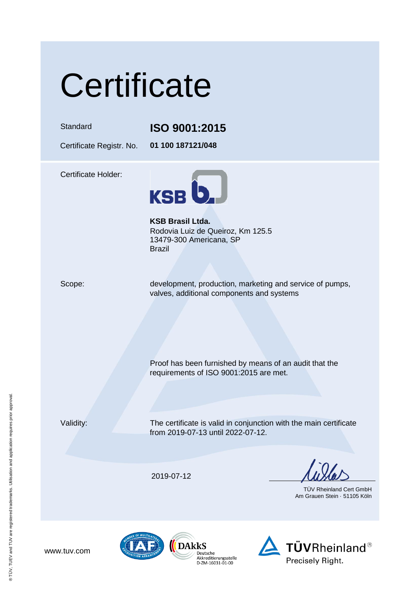# **Certificate**

### Standard **ISO 9001:2015**

Certificate Registr. No. **01 100 187121/048**

Certificate Holder:



**KSB Brasil Ltda.** Rodovia Luiz de Queiroz, Km 125.5 13479-300 Americana, SP Brazil

Scope: development, production, marketing and service of pumps, valves, additional components and systems

Proof has been furnished by means of an audit that the

requirements of ISO 9001:2015 are met.

Deutsche Deutscrie<br>Akkreditierungsstelle<br>D-ZM-16031-01-00

Validity: The certificate is valid in conjunction with the main certificate from 2019-07-13 until 2022-07-12.

2019-07-12

TÜV Rheinland Cert GmbH Am Grauen Stein · 51105 Köln





www.tuv.com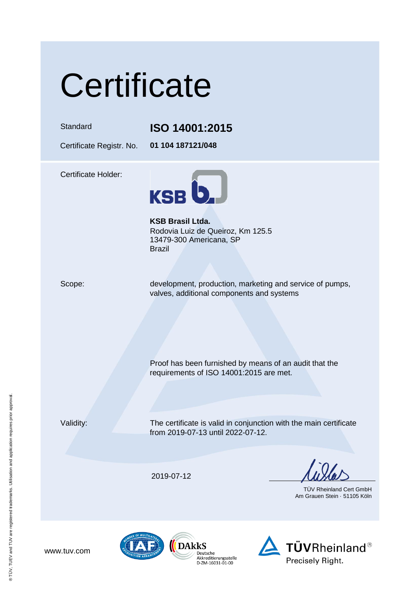# **Certificate**

### Standard **ISO 14001:2015**

Certificate Registr. No. **01 104 187121/048**

Certificate Holder:



**KSB Brasil Ltda.** Rodovia Luiz de Queiroz, Km 125.5 13479-300 Americana, SP Brazil

Scope: development, production, marketing and service of pumps, valves, additional components and systems

Proof has been furnished by means of an audit that the

requirements of ISO 14001:2015 are met.

www.tuv.com

Validity: The certificate is valid in conjunction with the main certificate from 2019-07-13 until 2022-07-12.

2019-07-12

TÜV Rheinland Cert GmbH Am Grauen Stein · 51105 Köln







® TÜV, TUEV and TUV are registered trademarks. Utilisation and application requires prior approval. ® TÜV, TUEV and TUV are registered trademarks. Utilisation and application requires prior approval.